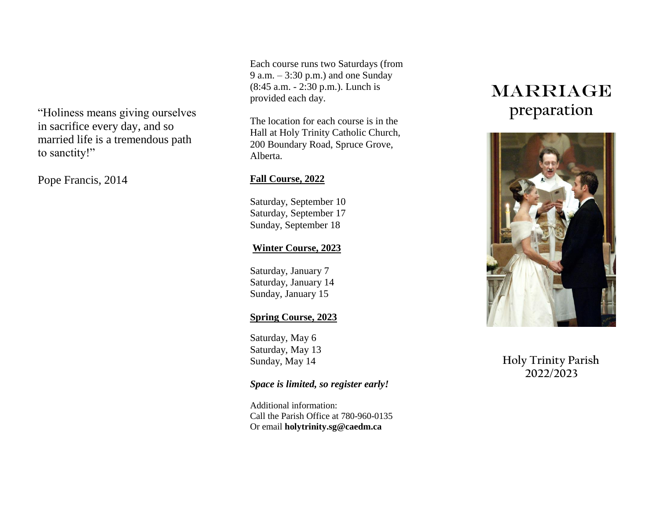"Holiness means giving ourselves in sacrifice every day, and so married life is a tremendous path to sanctity!"

Pope Francis, 2014

Each course runs two Saturdays (from 9 a.m. – 3:30 p.m.) and one Sunday (8:45 a.m. - 2:30 p.m.). Lunch is provided each day.

The location for each course is in the Hall at Holy Trinity Catholic Church, 200 Boundary Road, Spruce Grove, Alberta.

# **Fall Course, 2022**

Saturday, September 10 Saturday, September 17 Sunday, September 18

## **Winter Course, 2023**

Saturday, January 7 Saturday, January 14 Sunday, January 15

# **Spring Course, 2023**

Saturday, May 6 Saturday, May 13 Sunday, May 14

## *Space is limited, so register early!*

Additional information: Call the Parish Office at 780-960-0135 Or email **holytrinity.sg@caedm.ca**

# **MARRIAGE preparation**



# **Holy Trinity Parish 2022/2023**